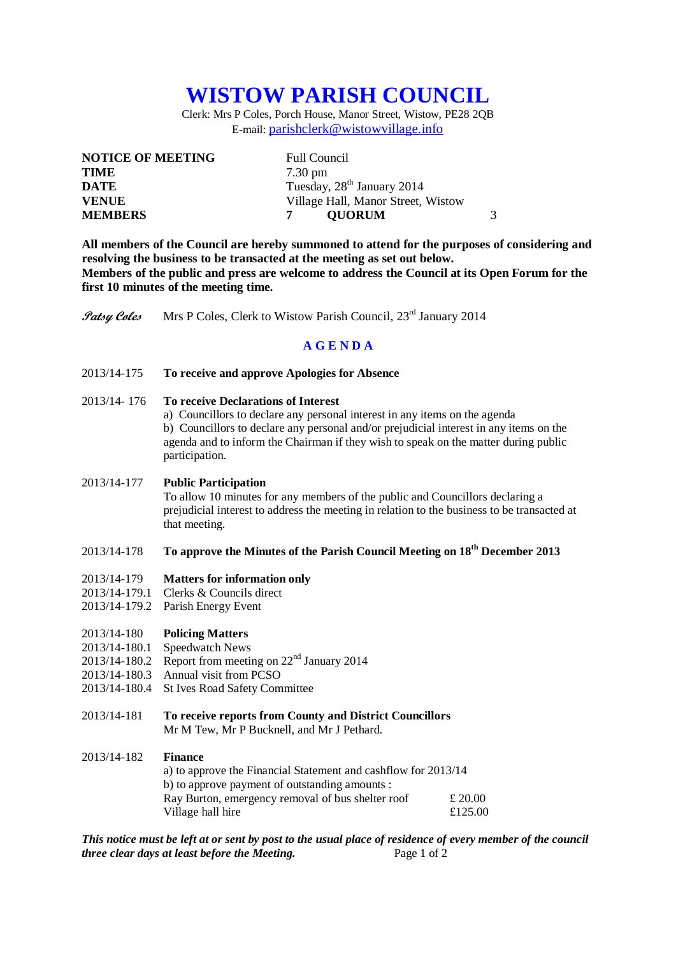# **WISTOW PARISH COUNCIL**

Clerk: Mrs P Coles, Porch House, Manor Street, Wistow, PE28 2QB E-mail: [parishclerk@wistowvillage.info](mailto:parishclerk@wistowvillage.info)

| <b>Full Council</b>                    |
|----------------------------------------|
| $7.30 \text{ pm}$                      |
| Tuesday, 28 <sup>th</sup> January 2014 |
| Village Hall, Manor Street, Wistow     |
| <b>OUORUM</b>                          |
|                                        |

**All members of the Council are hereby summoned to attend for the purposes of considering and resolving the business to be transacted at the meeting as set out below. Members of the public and press are welcome to address the Council at its Open Forum for the first 10 minutes of the meeting time.**

**Patsy Coles** Mrs P Coles, Clerk to Wistow Parish Council, 23<sup>rd</sup> January 2014

## **A G E N D A**

- 2013/14-175 **To receive and approve Apologies for Absence**
- 2013/14- 176 **To receive Declarations of Interest**
	- a) Councillors to declare any personal interest in any items on the agenda

b) Councillors to declare any personal and/or prejudicial interest in any items on the agenda and to inform the Chairman if they wish to speak on the matter during public participation.

## 2013/14-177 **Public Participation**

To allow 10 minutes for any members of the public and Councillors declaring a prejudicial interest to address the meeting in relation to the business to be transacted at that meeting.

# 2013/14-178 **To approve the Minutes of the Parish Council Meeting on 18th December 2013**

#### 2013/14-179 **Matters for information only**

- 2013/14-179.1 Clerks & Councils direct
- 2013/14-179.2 Parish Energy Event

## 2013/14-180 **Policing Matters**

- 2013/14-180.1 Speedwatch News
- 2013/14-180.2 Report from meeting on  $22<sup>nd</sup>$  January 2014
- 2013/14-180.3 Annual visit from PCSO
- 2013/14-180.4 St Ives Road Safety Committee
- 2013/14-181 **To receive reports from County and District Councillors** Mr M Tew, Mr P Bucknell, and Mr J Pethard.

### 2013/14-182 **Finance**

a) to approve the Financial Statement and cashflow for 2013/14 b) to approve payment of outstanding amounts : Ray Burton, emergency removal of bus shelter roof  $\pounds 20.00$ Village hall hire  $£125.00$ 

*This notice must be left at or sent by post to the usual place of residence of every member of the council three clear days at least before the Meeting.* Page 1 of 2